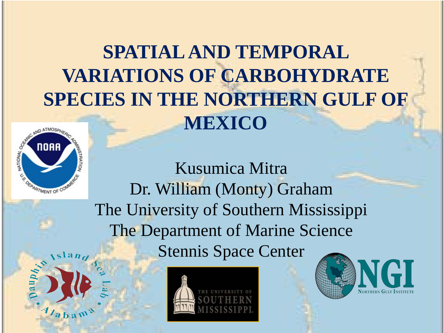#### **SPATIAL AND TEMPORAL VARIATIONS OF CARBOHYDRATE SPECIES IN THE NORTHERN GULF OF MEXICO**



 $4$  b  $2$ 

Kusumica Mitra Dr. William (Monty) Graham The University of Southern Mississippi The Department of Marine Science Stennis Space Center



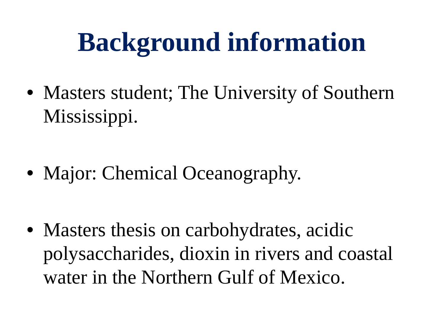# **Background information**

• Masters student; The University of Southern Mississippi.

• Major: Chemical Oceanography.

• Masters thesis on carbohydrates, acidic polysaccharides, dioxin in rivers and coastal water in the Northern Gulf of Mexico.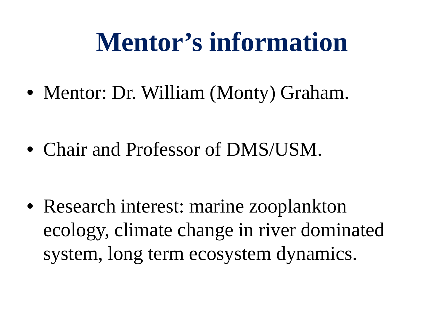## **Mentor's information**

• Mentor: Dr. William (Monty) Graham.

• Chair and Professor of DMS/USM.

• Research interest: marine zooplankton ecology, climate change in river dominated system, long term ecosystem dynamics.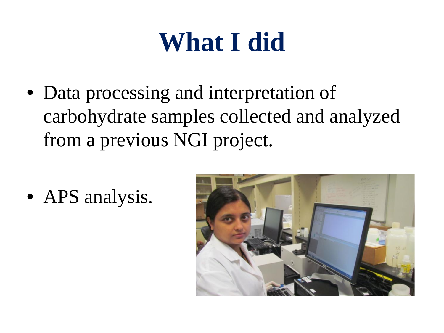# **What I did**

• Data processing and interpretation of carbohydrate samples collected and analyzed from a previous NGI project.

• APS analysis.

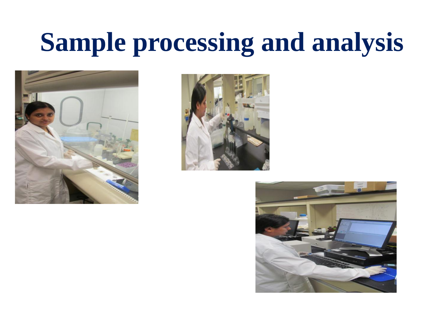## **Sample processing and analysis**





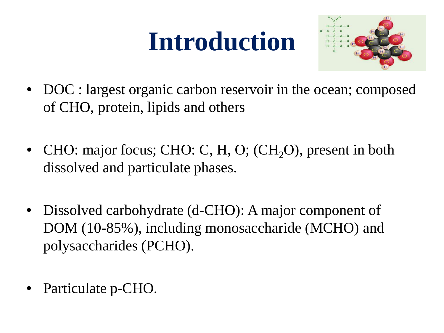# **Introduction**



- DOC : largest organic carbon reservoir in the ocean; composed of CHO, protein, lipids and others
- CHO: major focus; CHO: C, H, O; (CH<sub>2</sub>O), present in both dissolved and particulate phases.
- Dissolved carbohydrate (d-CHO): A major component of DOM (10-85%), including monosaccharide (MCHO) and polysaccharides (PCHO).
- Particulate p-CHO.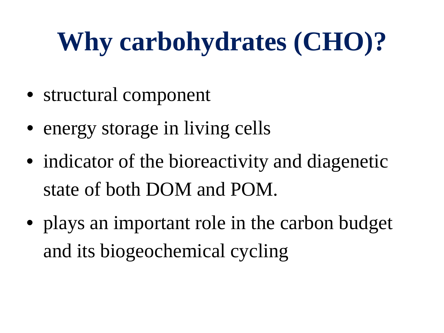# **Why carbohydrates (CHO)?**

- structural component
- energy storage in living cells
- indicator of the bioreactivity and diagenetic state of both DOM and POM.
- plays an important role in the carbon budget and its biogeochemical cycling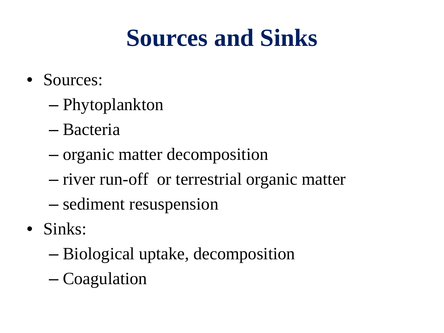#### **Sources and Sinks**

- Sources:
	- Phytoplankton
	- Bacteria
	- organic matter decomposition
	- river run-off or terrestrial organic matter
	- sediment resuspension
- Sinks:
	- Biological uptake, decomposition
	- Coagulation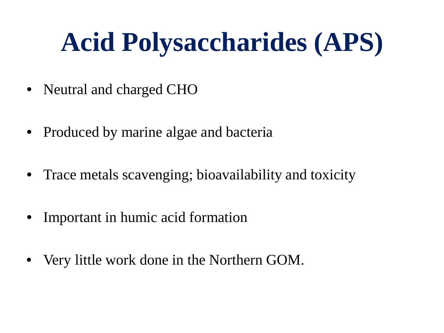# **Acid Polysaccharides (APS)**

- Neutral and charged CHO
- Produced by marine algae and bacteria
- Trace metals scavenging; bioavailability and toxicity
- Important in humic acid formation
- Very little work done in the Northern GOM.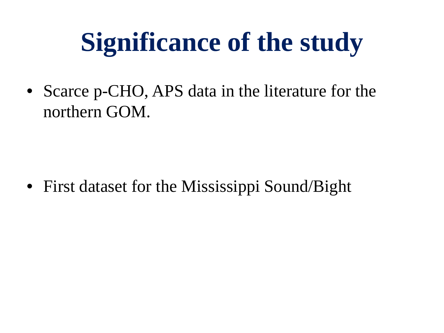# **Significance of the study**

• Scarce p-CHO, APS data in the literature for the northern GOM.

• First dataset for the Mississippi Sound/Bight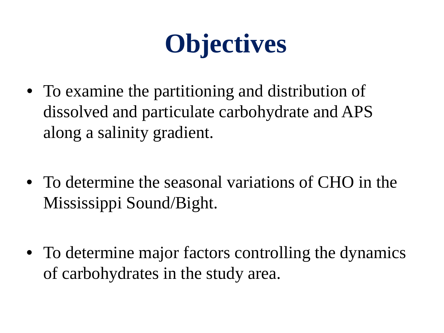# **Objectives**

- To examine the partitioning and distribution of dissolved and particulate carbohydrate and APS along a salinity gradient.
- To determine the seasonal variations of CHO in the Mississippi Sound/Bight.
- To determine major factors controlling the dynamics of carbohydrates in the study area.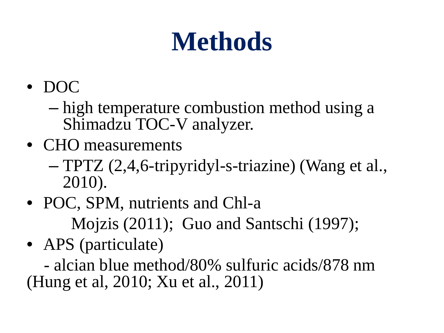# **Methods**

- DOC
	- high temperature combustion method using a Shimadzu TOC-V analyzer.
- CHO measurements
	- TPTZ (2,4,6-tripyridyl-s-triazine) (Wang et al., 2010).
- POC, SPM, nutrients and Chl-a Mojzis (2011); Guo and Santschi (1997);
- APS (particulate)

 - alcian blue method/80% sulfuric acids/878 nm (Hung et al, 2010; Xu et al., 2011)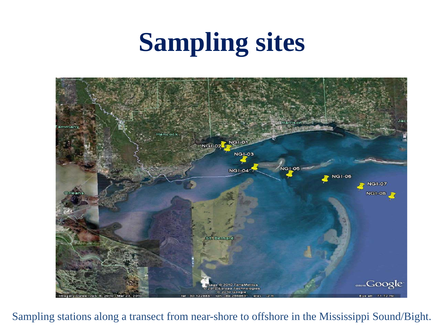# **Sampling sites**



Sampling stations along a transect from near-shore to offshore in the Mississippi Sound/Bight.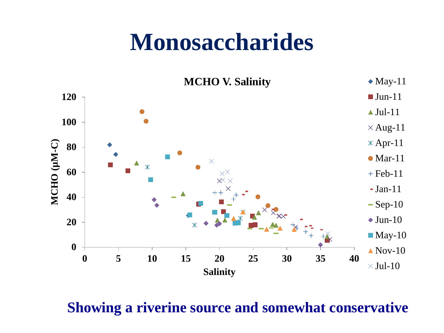#### **Monosaccharides**



**Showing a riverine source and somewhat conservative**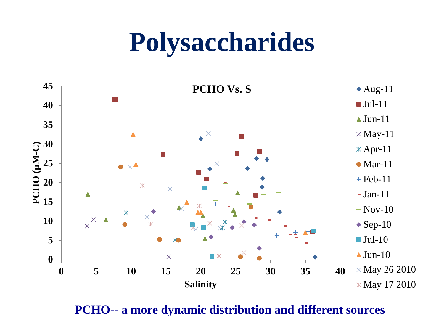#### **Polysaccharides**



**PCHO-- a more dynamic distribution and different sources**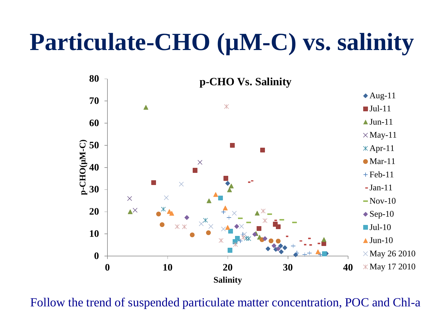#### **Particulate-CHO (µM-C) vs. salinity**



Follow the trend of suspended particulate matter concentration, POC and Chl-a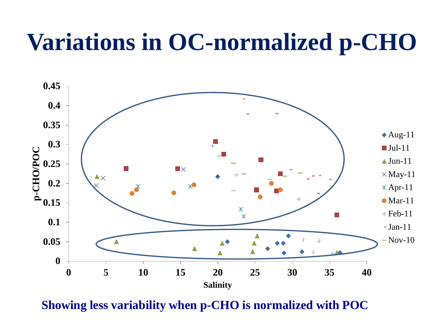#### **Variations in OC-normalized p-CHO**



**Showing less variability when p-CHO is normalized with POC**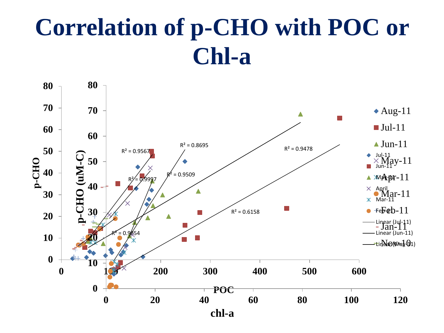#### **Correlation of p-CHO with POC or Chl-a**

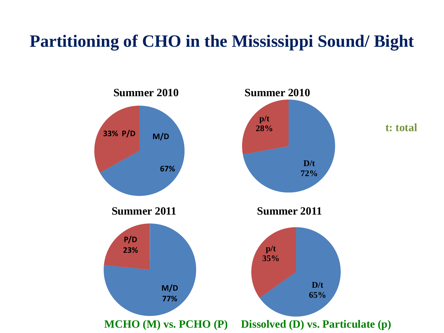#### **Partitioning of CHO in the Mississippi Sound/ Bight**

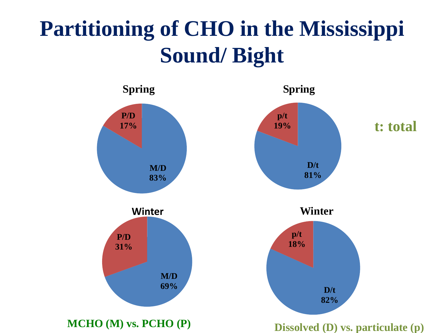#### **Partitioning of CHO in the Mississippi Sound/ Bight**



**MCHO (M) vs. PCHO (P) Dissolved (D) vs. particulate (p)**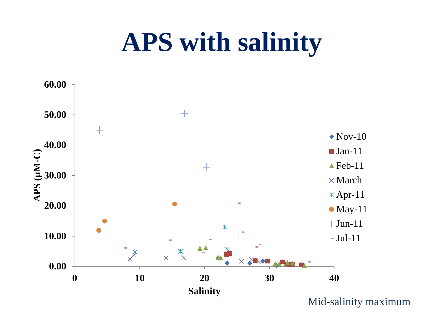#### **APS with salinity**

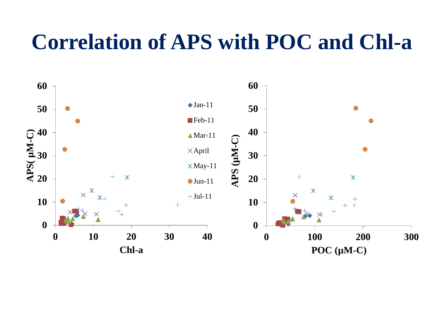#### **Correlation of APS with POC and Chl-a**

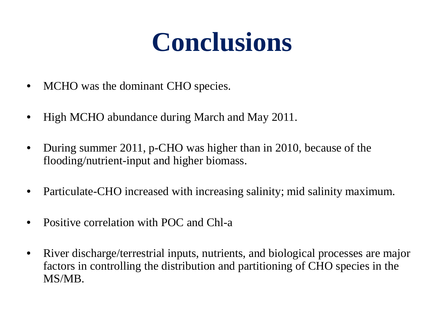# **Conclusions**

- MCHO was the dominant CHO species.
- High MCHO abundance during March and May 2011.
- During summer 2011, p-CHO was higher than in 2010, because of the flooding/nutrient-input and higher biomass.
- Particulate-CHO increased with increasing salinity; mid salinity maximum.
- Positive correlation with POC and Chl-a
- River discharge/terrestrial inputs, nutrients, and biological processes are major factors in controlling the distribution and partitioning of CHO species in the MS/MB.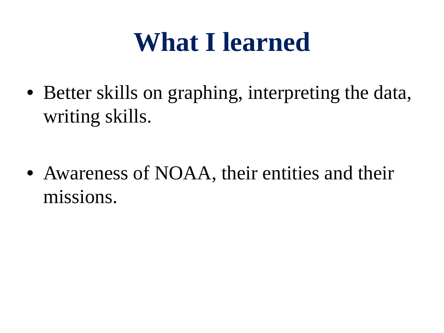## **What I learned**

• Better skills on graphing, interpreting the data, writing skills.

• Awareness of NOAA, their entities and their missions.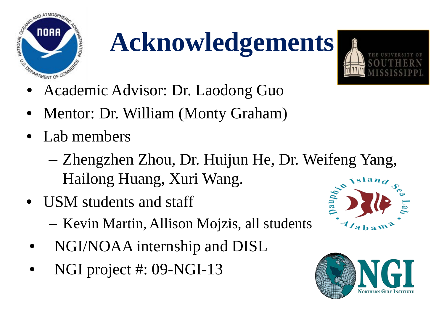

# **Acknowledgements**



- Academic Advisor: Dr. Laodong Guo
- Mentor: Dr. William (Monty Graham)
- Lab members
	- Zhengzhen Zhou, Dr. Huijun He, Dr. Weifeng Yang, Hailong Huang, Xuri Wang.
- USM students and staff
	- Kevin Martin, Allison Mojzis, all students
- NGI/NOAA internship and DISL
- NGI project #: 09-NGI-13